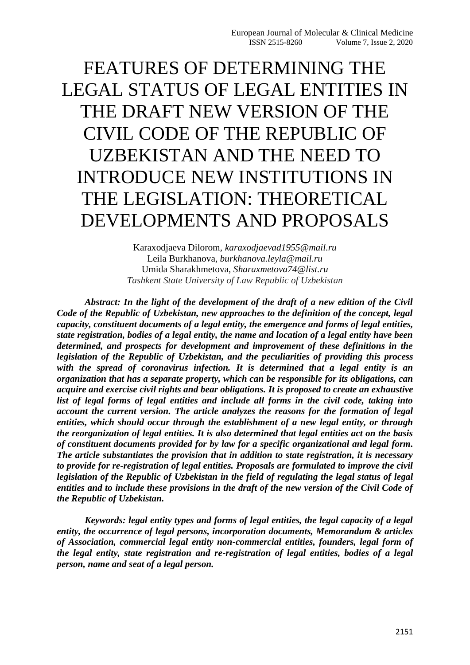# FEATURES OF DETERMINING THE LEGAL STATUS OF LEGAL ENTITIES IN THE DRAFT NEW VERSION OF THE CIVIL CODE OF THE REPUBLIC OF UZBEKISTAN AND THE NEED TO INTRODUCE NEW INSTITUTIONS IN THE LEGISLATION: THEORETICAL DEVELOPMENTS AND PROPOSALS

Karaxodjaeva Dilorom, *karaxodjaevad1955@mail.ru* Leila Burkhanova, *burkhanova.leyla@mail.ru* Umida Sharakhmetova, *Sharaxmetova74@list.ru Tashkent State University of Law Republic of Uzbekistan* 

*Abstract: In the light of the development of the draft of a new edition of the Civil Code of the Republic of Uzbekistan, new approaches to the definition of the concept, legal capacity, constituent documents of a legal entity, the emergence and forms of legal entities, state registration, bodies of a legal entity, the name and location of a legal entity have been determined, and prospects for development and improvement of these definitions in the legislation of the Republic of Uzbekistan, and the peculiarities of providing this process with the spread of coronavirus infection. It is determined that a legal entity is an organization that has a separate property, which can be responsible for its obligations, can acquire and exercise civil rights and bear obligations. It is proposed to create an exhaustive list of legal forms of legal entities and include all forms in the civil code, taking into account the current version. The article analyzes the reasons for the formation of legal entities, which should occur through the establishment of a new legal entity, or through the reorganization of legal entities. It is also determined that legal entities act on the basis of constituent documents provided for by law for a specific organizational and legal form. The article substantiates the provision that in addition to state registration, it is necessary to provide for re-registration of legal entities. Proposals are formulated to improve the civil legislation of the Republic of Uzbekistan in the field of regulating the legal status of legal entities and to include these provisions in the draft of the new version of the Civil Code of the Republic of Uzbekistan.*

*Keywords: legal entity types and forms of legal entities, the legal capacity of a legal entity, the occurrence of legal persons, incorporation documents, Memorandum & articles of Association, commercial legal entity non-commercial entities, founders, legal form of the legal entity, state registration and re-registration of legal entities, bodies of a legal person, name and seat of a legal person.*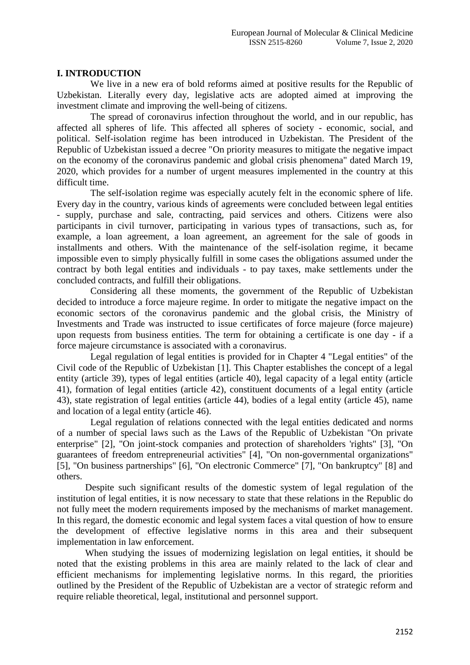## **I. INTRODUCTION**

We live in a new era of bold reforms aimed at positive results for the Republic of Uzbekistan. Literally every day, legislative acts are adopted aimed at improving the investment climate and improving the well-being of citizens.

The spread of coronavirus infection throughout the world, and in our republic, has affected all spheres of life. This affected all spheres of society - economic, social, and political. Self-isolation regime has been introduced in Uzbekistan. The President of the Republic of Uzbekistan issued a decree "On priority measures to mitigate the negative impact on the economy of the coronavirus pandemic and global crisis phenomena" dated March 19, 2020, which provides for a number of urgent measures implemented in the country at this difficult time.

The self-isolation regime was especially acutely felt in the economic sphere of life. Every day in the country, various kinds of agreements were concluded between legal entities - supply, purchase and sale, contracting, paid services and others. Citizens were also participants in civil turnover, participating in various types of transactions, such as, for example, a loan agreement, a loan agreement, an agreement for the sale of goods in installments and others. With the maintenance of the self-isolation regime, it became impossible even to simply physically fulfill in some cases the obligations assumed under the contract by both legal entities and individuals - to pay taxes, make settlements under the concluded contracts, and fulfill their obligations.

Considering all these moments, the government of the Republic of Uzbekistan decided to introduce a force majeure regime. In order to mitigate the negative impact on the economic sectors of the coronavirus pandemic and the global crisis, the Ministry of Investments and Trade was instructed to issue certificates of force majeure (force majeure) upon requests from business entities. The term for obtaining a certificate is one day - if a force majeure circumstance is associated with a coronavirus.

Legal regulation of legal entities is provided for in Chapter 4 "Legal entities" of the Civil code of the Republic of Uzbekistan [1]. This Chapter establishes the concept of a legal entity (article 39), types of legal entities (article 40), legal capacity of a legal entity (article 41), formation of legal entities (article 42), constituent documents of a legal entity (article 43), state registration of legal entities (article 44), bodies of a legal entity (article 45), name and location of a legal entity (article 46).

Legal regulation of relations connected with the legal entities dedicated and norms of a number of special laws such as the Laws of the Republic of Uzbekistan "On private enterprise" [2], "On joint-stock companies and protection of shareholders 'rights" [3], "On guarantees of freedom entrepreneurial activities" [4], "On non-governmental organizations" [5], "On business partnerships" [6], "On electronic Commerce" [7], "On bankruptcy" [8] and others.

Despite such significant results of the domestic system of legal regulation of the institution of legal entities, it is now necessary to state that these relations in the Republic do not fully meet the modern requirements imposed by the mechanisms of market management. In this regard, the domestic economic and legal system faces a vital question of how to ensure the development of effective legislative norms in this area and their subsequent implementation in law enforcement.

When studying the issues of modernizing legislation on legal entities, it should be noted that the existing problems in this area are mainly related to the lack of clear and efficient mechanisms for implementing legislative norms. In this regard, the priorities outlined by the President of the Republic of Uzbekistan are a vector of strategic reform and require reliable theoretical, legal, institutional and personnel support.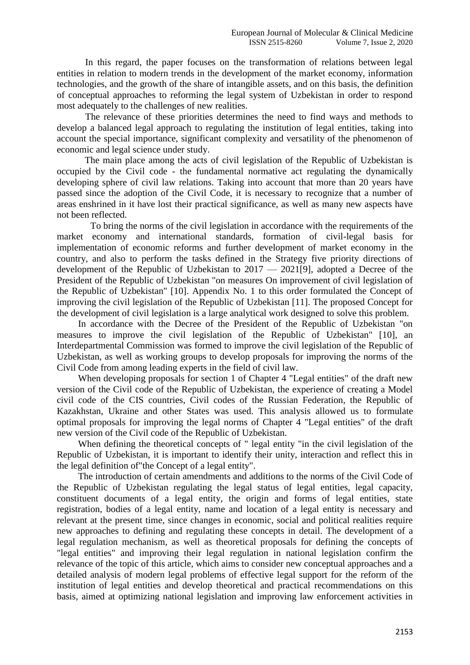In this regard, the paper focuses on the transformation of relations between legal entities in relation to modern trends in the development of the market economy, information technologies, and the growth of the share of intangible assets, and on this basis, the definition of conceptual approaches to reforming the legal system of Uzbekistan in order to respond most adequately to the challenges of new realities.

The relevance of these priorities determines the need to find ways and methods to develop a balanced legal approach to regulating the institution of legal entities, taking into account the special importance, significant complexity and versatility of the phenomenon of economic and legal science under study.

The main place among the acts of civil legislation of the Republic of Uzbekistan is occupied by the Civil code - the fundamental normative act regulating the dynamically developing sphere of civil law relations. Taking into account that more than 20 years have passed since the adoption of the Civil Code, it is necessary to recognize that a number of areas enshrined in it have lost their practical significance, as well as many new aspects have not been reflected.

To bring the norms of the civil legislation in accordance with the requirements of the market economy and international standards, formation of civil-legal basis for implementation of economic reforms and further development of market economy in the country, and also to perform the tasks defined in the Strategy five priority directions of development of the Republic of Uzbekistan to 2017 — 2021[9], adopted a Decree of the President of the Republic of Uzbekistan "on measures On improvement of civil legislation of the Republic of Uzbekistan" [10]. Appendix No. 1 to this order formulated the Concept of improving the civil legislation of the Republic of Uzbekistan [11]. The proposed Concept for the development of civil legislation is a large analytical work designed to solve this problem.

In accordance with the Decree of the President of the Republic of Uzbekistan "on measures to improve the civil legislation of the Republic of Uzbekistan" [10], an Interdepartmental Commission was formed to improve the civil legislation of the Republic of Uzbekistan, as well as working groups to develop proposals for improving the norms of the Civil Code from among leading experts in the field of civil law.

When developing proposals for section 1 of Chapter 4 "Legal entities" of the draft new version of the Civil code of the Republic of Uzbekistan, the experience of creating a Model civil code of the CIS countries, Civil codes of the Russian Federation, the Republic of Kazakhstan, Ukraine and other States was used. This analysis allowed us to formulate optimal proposals for improving the legal norms of Chapter 4 "Legal entities" of the draft new version of the Civil code of the Republic of Uzbekistan.

When defining the theoretical concepts of " legal entity "in the civil legislation of the Republic of Uzbekistan, it is important to identify their unity, interaction and reflect this in the legal definition of"the Concept of a legal entity".

The introduction of certain amendments and additions to the norms of the Civil Code of the Republic of Uzbekistan regulating the legal status of legal entities, legal capacity, constituent documents of a legal entity, the origin and forms of legal entities, state registration, bodies of a legal entity, name and location of a legal entity is necessary and relevant at the present time, since changes in economic, social and political realities require new approaches to defining and regulating these concepts in detail. The development of a legal regulation mechanism, as well as theoretical proposals for defining the concepts of "legal entities" and improving their legal regulation in national legislation confirm the relevance of the topic of this article, which aims to consider new conceptual approaches and a detailed analysis of modern legal problems of effective legal support for the reform of the institution of legal entities and develop theoretical and practical recommendations on this basis, aimed at optimizing national legislation and improving law enforcement activities in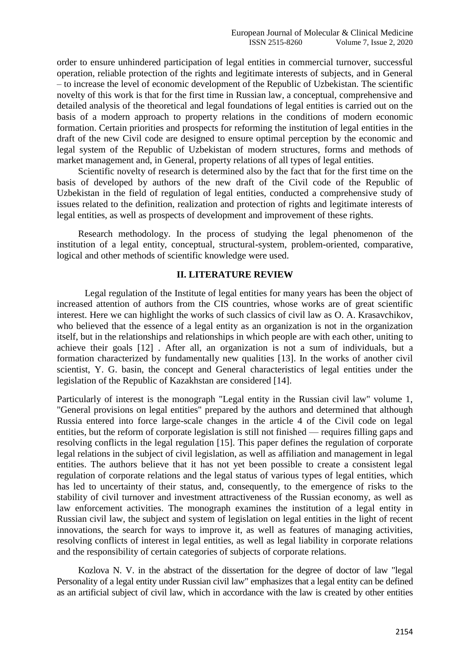order to ensure unhindered participation of legal entities in commercial turnover, successful operation, reliable protection of the rights and legitimate interests of subjects, and in General – to increase the level of economic development of the Republic of Uzbekistan. The scientific novelty of this work is that for the first time in Russian law, a conceptual, comprehensive and detailed analysis of the theoretical and legal foundations of legal entities is carried out on the basis of a modern approach to property relations in the conditions of modern economic formation. Certain priorities and prospects for reforming the institution of legal entities in the draft of the new Civil code are designed to ensure optimal perception by the economic and legal system of the Republic of Uzbekistan of modern structures, forms and methods of market management and, in General, property relations of all types of legal entities.

Scientific novelty of research is determined also by the fact that for the first time on the basis of developed by authors of the new draft of the Civil code of the Republic of Uzbekistan in the field of regulation of legal entities, conducted a comprehensive study of issues related to the definition, realization and protection of rights and legitimate interests of legal entities, as well as prospects of development and improvement of these rights.

Research methodology. In the process of studying the legal phenomenon of the institution of a legal entity, conceptual, structural-system, problem-oriented, comparative, logical and other methods of scientific knowledge were used.

## **II. LITERATURE REVIEW**

Legal regulation of the Institute of legal entities for many years has been the object of increased attention of authors from the CIS countries, whose works are of great scientific interest. Here we can highlight the works of such classics of civil law as O. A. Krasavchikov, who believed that the essence of a legal entity as an organization is not in the organization itself, but in the relationships and relationships in which people are with each other, uniting to achieve their goals [12] . After all, an organization is not a sum of individuals, but a formation characterized by fundamentally new qualities [13]. In the works of another civil scientist, Y. G. basin, the concept and General characteristics of legal entities under the legislation of the Republic of Kazakhstan are considered [14].

Particularly of interest is the monograph "Legal entity in the Russian civil law" volume 1, "General provisions on legal entities" prepared by the authors and determined that although Russia entered into force large-scale changes in the article 4 of the Civil code on legal entities, but the reform of corporate legislation is still not finished — requires filling gaps and resolving conflicts in the legal regulation [15]. This paper defines the regulation of corporate legal relations in the subject of civil legislation, as well as affiliation and management in legal entities. The authors believe that it has not yet been possible to create a consistent legal regulation of corporate relations and the legal status of various types of legal entities, which has led to uncertainty of their status, and, consequently, to the emergence of risks to the stability of civil turnover and investment attractiveness of the Russian economy, as well as law enforcement activities. The monograph examines the institution of a legal entity in Russian civil law, the subject and system of legislation on legal entities in the light of recent innovations, the search for ways to improve it, as well as features of managing activities, resolving conflicts of interest in legal entities, as well as legal liability in corporate relations and the responsibility of certain categories of subjects of corporate relations.

Kozlova N. V. in the abstract of the dissertation for the degree of doctor of law "legal Personality of a legal entity under Russian civil law" emphasizes that a legal entity can be defined as an artificial subject of civil law, which in accordance with the law is created by other entities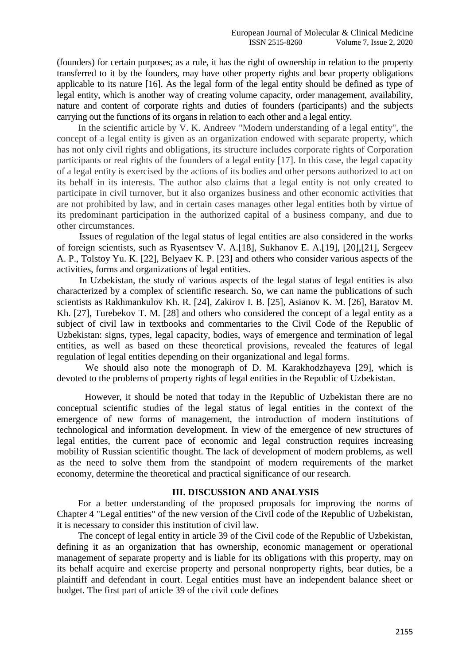(founders) for certain purposes; as a rule, it has the right of ownership in relation to the property transferred to it by the founders, may have other property rights and bear property obligations applicable to its nature [16]. As the legal form of the legal entity should be defined as type of legal entity, which is another way of creating volume capacity, order management, availability, nature and content of corporate rights and duties of founders (participants) and the subjects carrying out the functions of its organs in relation to each other and a legal entity.

In the scientific article by V. K. Andreev "Modern understanding of a legal entity", the concept of a legal entity is given as an organization endowed with separate property, which has not only civil rights and obligations, its structure includes corporate rights of Corporation participants or real rights of the founders of a legal entity [17]. In this case, the legal capacity of a legal entity is exercised by the actions of its bodies and other persons authorized to act on its behalf in its interests. The author also claims that a legal entity is not only created to participate in civil turnover, but it also organizes business and other economic activities that are not prohibited by law, and in certain cases manages other legal entities both by virtue of its predominant participation in the authorized capital of a business company, and due to other circumstances.

Issues of regulation of the legal status of legal entities are also considered in the works of foreign scientists, such as Ryasentsev V. A.[18], Sukhanov E. A.[19], [20],[21], Sergeev A. P., Tolstoy Yu. K. [22], Belyaev K. P. [23] and others who consider various aspects of the activities, forms and organizations of legal entities.

In Uzbekistan, the study of various aspects of the legal status of legal entities is also characterized by a complex of scientific research. So, we can name the publications of such scientists as Rakhmankulov Kh. R. [24], Zakirov I. B. [25], Asianov K. M. [26], Baratov M. Kh. [27], Turebekov T. M. [28] and others who considered the concept of a legal entity as a subject of civil law in textbooks and commentaries to the Civil Code of the Republic of Uzbekistan: signs, types, legal capacity, bodies, ways of emergence and termination of legal entities, as well as based on these theoretical provisions, revealed the features of legal regulation of legal entities depending on their organizational and legal forms.

We should also note the monograph of D. M. Karakhodzhayeva [29], which is devoted to the problems of property rights of legal entities in the Republic of Uzbekistan.

However, it should be noted that today in the Republic of Uzbekistan there are no conceptual scientific studies of the legal status of legal entities in the context of the emergence of new forms of management, the introduction of modern institutions of technological and information development. In view of the emergence of new structures of legal entities, the current pace of economic and legal construction requires increasing mobility of Russian scientific thought. The lack of development of modern problems, as well as the need to solve them from the standpoint of modern requirements of the market economy, determine the theoretical and practical significance of our research.

#### **III. DISCUSSION AND ANALYSIS**

For a better understanding of the proposed proposals for improving the norms of Chapter 4 "Legal entities" of the new version of the Civil code of the Republic of Uzbekistan, it is necessary to consider this institution of civil law.

The concept of legal entity in article 39 of the Civil code of the Republic of Uzbekistan, defining it as an organization that has ownership, economic management or operational management of separate property and is liable for its obligations with this property, may on its behalf acquire and exercise property and personal nonproperty rights, bear duties, be a plaintiff and defendant in court. Legal entities must have an independent balance sheet or budget. The first part of article 39 of the civil code defines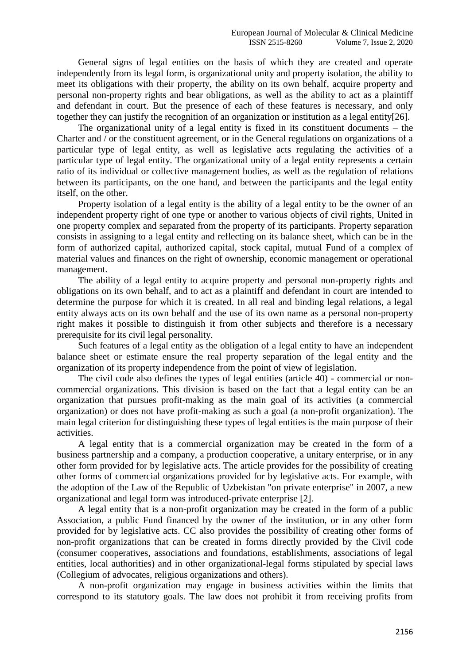General signs of legal entities on the basis of which they are created and operate independently from its legal form, is organizational unity and property isolation, the ability to meet its obligations with their property, the ability on its own behalf, acquire property and personal non-property rights and bear obligations, as well as the ability to act as a plaintiff and defendant in court. But the presence of each of these features is necessary, and only together they can justify the recognition of an organization or institution as a legal entity[26].

The organizational unity of a legal entity is fixed in its constituent documents – the Charter and / or the constituent agreement, or in the General regulations on organizations of a particular type of legal entity, as well as legislative acts regulating the activities of a particular type of legal entity. The organizational unity of a legal entity represents a certain ratio of its individual or collective management bodies, as well as the regulation of relations between its participants, on the one hand, and between the participants and the legal entity itself, on the other.

Property isolation of a legal entity is the ability of a legal entity to be the owner of an independent property right of one type or another to various objects of civil rights, United in one property complex and separated from the property of its participants. Property separation consists in assigning to a legal entity and reflecting on its balance sheet, which can be in the form of authorized capital, authorized capital, stock capital, mutual Fund of a complex of material values and finances on the right of ownership, economic management or operational management.

The ability of a legal entity to acquire property and personal non-property rights and obligations on its own behalf, and to act as a plaintiff and defendant in court are intended to determine the purpose for which it is created. In all real and binding legal relations, a legal entity always acts on its own behalf and the use of its own name as a personal non-property right makes it possible to distinguish it from other subjects and therefore is a necessary prerequisite for its civil legal personality.

Such features of a legal entity as the obligation of a legal entity to have an independent balance sheet or estimate ensure the real property separation of the legal entity and the organization of its property independence from the point of view of legislation.

The civil code also defines the types of legal entities (article 40) - commercial or noncommercial organizations. This division is based on the fact that a legal entity can be an organization that pursues profit-making as the main goal of its activities (a commercial organization) or does not have profit-making as such a goal (a non-profit organization). The main legal criterion for distinguishing these types of legal entities is the main purpose of their activities.

A legal entity that is a commercial organization may be created in the form of a business partnership and a company, a production cooperative, a unitary enterprise, or in any other form provided for by legislative acts. The article provides for the possibility of creating other forms of commercial organizations provided for by legislative acts. For example, with the adoption of the Law of the Republic of Uzbekistan "on private enterprise" in 2007, a new organizational and legal form was introduced-private enterprise [2].

A legal entity that is a non-profit organization may be created in the form of a public Association, a public Fund financed by the owner of the institution, or in any other form provided for by legislative acts. CC also provides the possibility of creating other forms of non-profit organizations that can be created in forms directly provided by the Civil code (consumer cooperatives, associations and foundations, establishments, associations of legal entities, local authorities) and in other organizational-legal forms stipulated by special laws (Collegium of advocates, religious organizations and others).

A non-profit organization may engage in business activities within the limits that correspond to its statutory goals. The law does not prohibit it from receiving profits from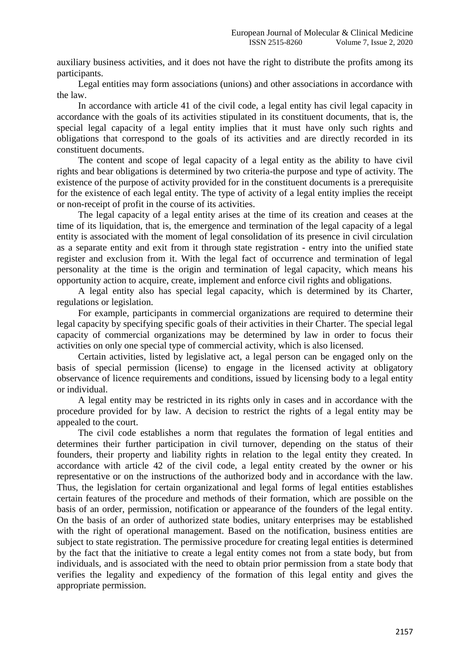auxiliary business activities, and it does not have the right to distribute the profits among its participants.

Legal entities may form associations (unions) and other associations in accordance with the law.

In accordance with article 41 of the civil code, a legal entity has civil legal capacity in accordance with the goals of its activities stipulated in its constituent documents, that is, the special legal capacity of a legal entity implies that it must have only such rights and obligations that correspond to the goals of its activities and are directly recorded in its constituent documents.

The content and scope of legal capacity of a legal entity as the ability to have civil rights and bear obligations is determined by two criteria-the purpose and type of activity. The existence of the purpose of activity provided for in the constituent documents is a prerequisite for the existence of each legal entity. The type of activity of a legal entity implies the receipt or non-receipt of profit in the course of its activities.

The legal capacity of a legal entity arises at the time of its creation and ceases at the time of its liquidation, that is, the emergence and termination of the legal capacity of a legal entity is associated with the moment of legal consolidation of its presence in civil circulation as a separate entity and exit from it through state registration - entry into the unified state register and exclusion from it. With the legal fact of occurrence and termination of legal personality at the time is the origin and termination of legal capacity, which means his opportunity action to acquire, create, implement and enforce civil rights and obligations.

A legal entity also has special legal capacity, which is determined by its Charter, regulations or legislation.

For example, participants in commercial organizations are required to determine their legal capacity by specifying specific goals of their activities in their Charter. The special legal capacity of commercial organizations may be determined by law in order to focus their activities on only one special type of commercial activity, which is also licensed.

Certain activities, listed by legislative act, a legal person can be engaged only on the basis of special permission (license) to engage in the licensed activity at obligatory observance of licence requirements and conditions, issued by licensing body to a legal entity or individual.

A legal entity may be restricted in its rights only in cases and in accordance with the procedure provided for by law. A decision to restrict the rights of a legal entity may be appealed to the court.

The civil code establishes a norm that regulates the formation of legal entities and determines their further participation in civil turnover, depending on the status of their founders, their property and liability rights in relation to the legal entity they created. In accordance with article 42 of the civil code, a legal entity created by the owner or his representative or on the instructions of the authorized body and in accordance with the law. Thus, the legislation for certain organizational and legal forms of legal entities establishes certain features of the procedure and methods of their formation, which are possible on the basis of an order, permission, notification or appearance of the founders of the legal entity. On the basis of an order of authorized state bodies, unitary enterprises may be established with the right of operational management. Based on the notification, business entities are subject to state registration. The permissive procedure for creating legal entities is determined by the fact that the initiative to create a legal entity comes not from a state body, but from individuals, and is associated with the need to obtain prior permission from a state body that verifies the legality and expediency of the formation of this legal entity and gives the appropriate permission.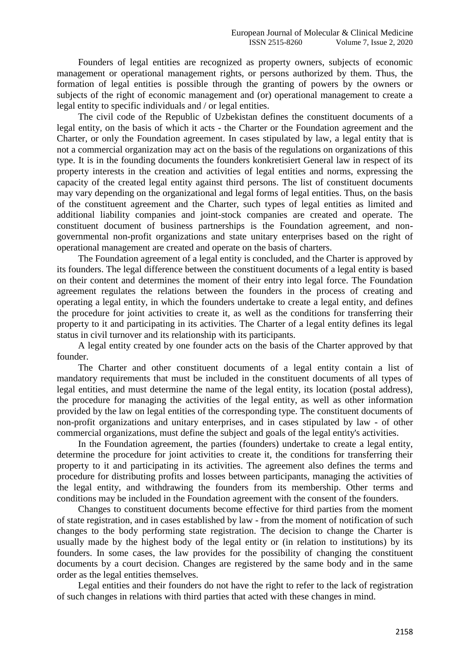Founders of legal entities are recognized as property owners, subjects of economic management or operational management rights, or persons authorized by them. Thus, the formation of legal entities is possible through the granting of powers by the owners or subjects of the right of economic management and (or) operational management to create a legal entity to specific individuals and / or legal entities.

The civil code of the Republic of Uzbekistan defines the constituent documents of a legal entity, on the basis of which it acts - the Charter or the Foundation agreement and the Charter, or only the Foundation agreement. In cases stipulated by law, a legal entity that is not a commercial organization may act on the basis of the regulations on organizations of this type. It is in the founding documents the founders konkretisiert General law in respect of its property interests in the creation and activities of legal entities and norms, expressing the capacity of the created legal entity against third persons. The list of constituent documents may vary depending on the organizational and legal forms of legal entities. Thus, on the basis of the constituent agreement and the Charter, such types of legal entities as limited and additional liability companies and joint-stock companies are created and operate. The constituent document of business partnerships is the Foundation agreement, and nongovernmental non-profit organizations and state unitary enterprises based on the right of operational management are created and operate on the basis of charters.

The Foundation agreement of a legal entity is concluded, and the Charter is approved by its founders. The legal difference between the constituent documents of a legal entity is based on their content and determines the moment of their entry into legal force. The Foundation agreement regulates the relations between the founders in the process of creating and operating a legal entity, in which the founders undertake to create a legal entity, and defines the procedure for joint activities to create it, as well as the conditions for transferring their property to it and participating in its activities. The Charter of a legal entity defines its legal status in civil turnover and its relationship with its participants.

A legal entity created by one founder acts on the basis of the Charter approved by that founder.

The Charter and other constituent documents of a legal entity contain a list of mandatory requirements that must be included in the constituent documents of all types of legal entities, and must determine the name of the legal entity, its location (postal address), the procedure for managing the activities of the legal entity, as well as other information provided by the law on legal entities of the corresponding type. The constituent documents of non-profit organizations and unitary enterprises, and in cases stipulated by law - of other commercial organizations, must define the subject and goals of the legal entity's activities.

In the Foundation agreement, the parties (founders) undertake to create a legal entity, determine the procedure for joint activities to create it, the conditions for transferring their property to it and participating in its activities. The agreement also defines the terms and procedure for distributing profits and losses between participants, managing the activities of the legal entity, and withdrawing the founders from its membership. Other terms and conditions may be included in the Foundation agreement with the consent of the founders.

Changes to constituent documents become effective for third parties from the moment of state registration, and in cases established by law - from the moment of notification of such changes to the body performing state registration. The decision to change the Charter is usually made by the highest body of the legal entity or (in relation to institutions) by its founders. In some cases, the law provides for the possibility of changing the constituent documents by a court decision. Changes are registered by the same body and in the same order as the legal entities themselves.

Legal entities and their founders do not have the right to refer to the lack of registration of such changes in relations with third parties that acted with these changes in mind.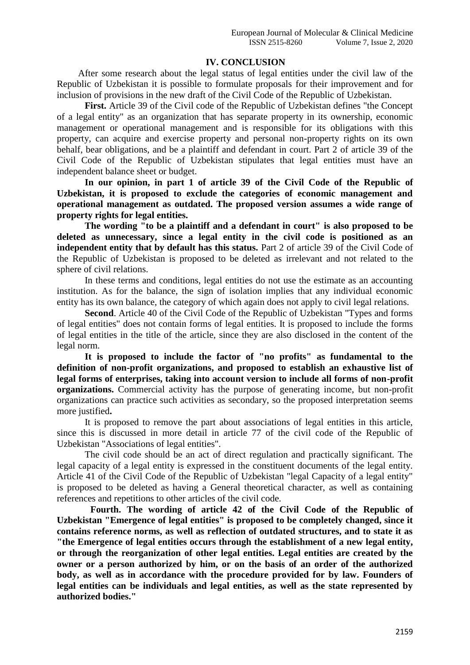## **IV. CONCLUSION**

After some research about the legal status of legal entities under the civil law of the Republic of Uzbekistan it is possible to formulate proposals for their improvement and for inclusion of provisions in the new draft of the Civil Code of the Republic of Uzbekistan.

**First.** Article 39 of the Civil code of the Republic of Uzbekistan defines "the Concept of a legal entity" as an organization that has separate property in its ownership, economic management or operational management and is responsible for its obligations with this property, can acquire and exercise property and personal non-property rights on its own behalf, bear obligations, and be a plaintiff and defendant in court. Part 2 of article 39 of the Civil Code of the Republic of Uzbekistan stipulates that legal entities must have an independent balance sheet or budget.

**In our opinion, in part 1 of article 39 of the Civil Code of the Republic of Uzbekistan, it is proposed to exclude the categories of economic management and operational management as outdated. The proposed version assumes a wide range of property rights for legal entities.**

**The wording "to be a plaintiff and a defendant in court" is also proposed to be deleted as unnecessary, since a legal entity in the civil code is positioned as an independent entity that by default has this status.** Part 2 of article 39 of the Civil Code of the Republic of Uzbekistan is proposed to be deleted as irrelevant and not related to the sphere of civil relations.

In these terms and conditions, legal entities do not use the estimate as an accounting institution. As for the balance, the sign of isolation implies that any individual economic entity has its own balance, the category of which again does not apply to civil legal relations.

**Second**. Article 40 of the Civil Code of the Republic of Uzbekistan "Types and forms of legal entities" does not contain forms of legal entities. It is proposed to include the forms of legal entities in the title of the article, since they are also disclosed in the content of the legal norm.

**It is proposed to include the factor of "no profits" as fundamental to the definition of non-profit organizations, and proposed to establish an exhaustive list of legal forms of enterprises, taking into account version to include all forms of non-profit organizations.** Commercial activity has the purpose of generating income, but non-profit organizations can practice such activities as secondary, so the proposed interpretation seems more justified**.**

It is proposed to remove the part about associations of legal entities in this article, since this is discussed in more detail in article 77 of the civil code of the Republic of Uzbekistan "Associations of legal entities".

The civil code should be an act of direct regulation and practically significant. The legal capacity of a legal entity is expressed in the constituent documents of the legal entity. Article 41 of the Civil Code of the Republic of Uzbekistan "legal Capacity of a legal entity" is proposed to be deleted as having a General theoretical character, as well as containing references and repetitions to other articles of the civil code.

**Fourth. The wording of article 42 of the Civil Code of the Republic of Uzbekistan "Emergence of legal entities" is proposed to be completely changed, since it contains reference norms, as well as reflection of outdated structures, and to state it as "the Emergence of legal entities occurs through the establishment of a new legal entity, or through the reorganization of other legal entities. Legal entities are created by the owner or a person authorized by him, or on the basis of an order of the authorized body, as well as in accordance with the procedure provided for by law. Founders of legal entities can be individuals and legal entities, as well as the state represented by authorized bodies."**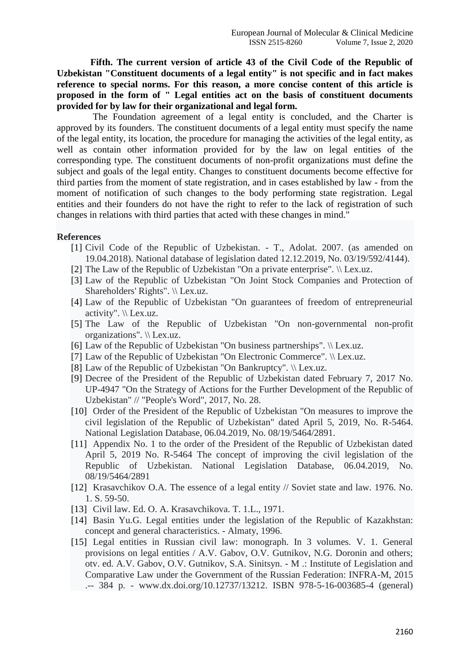**Fifth. The current version of article 43 of the Civil Code of the Republic of Uzbekistan "Constituent documents of a legal entity" is not specific and in fact makes reference to special norms. For this reason, a more concise content of this article is proposed in the form of " Legal entities act on the basis of constituent documents provided for by law for their organizational and legal form.**

The Foundation agreement of a legal entity is concluded, and the Charter is approved by its founders. The constituent documents of a legal entity must specify the name of the legal entity, its location, the procedure for managing the activities of the legal entity, as well as contain other information provided for by the law on legal entities of the corresponding type. The constituent documents of non-profit organizations must define the subject and goals of the legal entity. Changes to constituent documents become effective for third parties from the moment of state registration, and in cases established by law - from the moment of notification of such changes to the body performing state registration. Legal entities and their founders do not have the right to refer to the lack of registration of such changes in relations with third parties that acted with these changes in mind."

### **References**

- [1] Civil Code of the Republic of Uzbekistan. T., Adolat. 2007. (as amended on 19.04.2018). National database of legislation dated 12.12.2019, No. 03/19/592/4144).
- [2] The Law of the Republic of Uzbekistan "On a private enterprise". \\ Lex.uz.
- [3] Law of the Republic of Uzbekistan "On Joint Stock Companies and Protection of Shareholders' Rights". \\ Lex.uz.
- [4] Law of the Republic of Uzbekistan "On guarantees of freedom of entrepreneurial activity". \\ Lex.uz.
- [5] The Law of the Republic of Uzbekistan "On non-governmental non-profit organizations". \\ Lex.uz.
- [6] Law of the Republic of Uzbekistan "On business partnerships". \\ Lex.uz.
- [7] Law of the Republic of Uzbekistan "On Electronic Commerce". \\ Lex.uz.
- [8] Law of the Republic of Uzbekistan "On Bankruptcy". \\ Lex.uz.
- [9] Decree of the President of the Republic of Uzbekistan dated February 7, 2017 No. UP-4947 "On the Strategy of Actions for the Further Development of the Republic of Uzbekistan" // "People's Word", 2017, No. 28.
- [10] Order of the President of the Republic of Uzbekistan "On measures to improve the civil legislation of the Republic of Uzbekistan" dated April 5, 2019, No. R-5464. National Legislation Database, 06.04.2019, No. 08/19/5464/2891.
- [11] Appendix No. 1 to the order of the President of the Republic of Uzbekistan dated April 5, 2019 No. R-5464 The concept of improving the civil legislation of the Republic of Uzbekistan. National Legislation Database, 06.04.2019, No. 08/19/5464/2891
- [12] Krasavchikov O.A. The essence of a legal entity // Soviet state and law. 1976. No. 1. S. 59-50.
- [13] Civil law. Ed. O. A. Krasavchikova. T. 1.L., 1971.
- [14] Basin Yu.G. Legal entities under the legislation of the Republic of Kazakhstan: concept and general characteristics. - Almaty, 1996.
- [15] Legal entities in Russian civil law: monograph. In 3 volumes. V. 1. General provisions on legal entities / A.V. Gabov, O.V. Gutnikov, N.G. Doronin and others; otv. ed. A.V. Gabov, O.V. Gutnikov, S.A. Sinitsyn. - M .: Institute of Legislation and Comparative Law under the Government of the Russian Federation: INFRA-M, 2015 .-- 384 p. - www.dx.doi.org/10.12737/13212. ISBN 978-5-16-003685-4 (general)